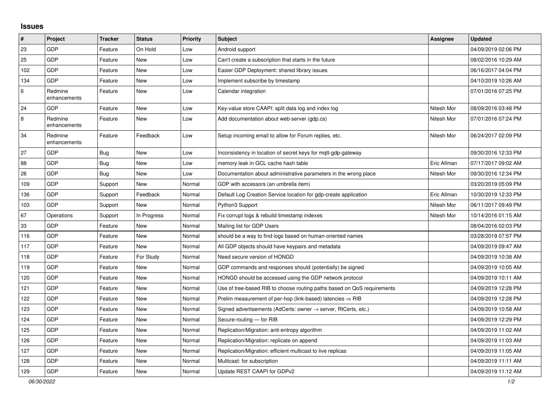## **Issues**

| $\vert$ # | Project                 | <b>Tracker</b> | <b>Status</b> | <b>Priority</b> | <b>Subject</b>                                                          | Assignee    | <b>Updated</b>      |
|-----------|-------------------------|----------------|---------------|-----------------|-------------------------------------------------------------------------|-------------|---------------------|
| 23        | GDP                     | Feature        | On Hold       | Low             | Android support                                                         |             | 04/09/2019 02:06 PM |
| 25        | GDP                     | Feature        | <b>New</b>    | Low             | Can't create a subscription that starts in the future                   |             | 08/02/2016 10:29 AM |
| 102       | GDP                     | Feature        | <b>New</b>    | Low             | Easier GDP Deployment: shared library issues                            |             | 06/16/2017 04:04 PM |
| 134       | GDP                     | Feature        | <b>New</b>    | Low             | Implement subscribe by timestamp                                        |             | 04/10/2019 10:26 AM |
| $\,6\,$   | Redmine<br>enhancements | Feature        | <b>New</b>    | Low             | Calendar integration                                                    |             | 07/01/2016 07:25 PM |
| 24        | GDP                     | Feature        | New           | Low             | Key-value store CAAPI: split data log and index log                     | Nitesh Mor  | 08/09/2016 03:48 PM |
| 8         | Redmine<br>enhancements | Feature        | <b>New</b>    | Low             | Add documentation about web-server (gdp.cs)                             | Nitesh Mor  | 07/01/2016 07:24 PM |
| 34        | Redmine<br>enhancements | Feature        | Feedback      | Low             | Setup incoming email to allow for Forum replies, etc.                   | Nitesh Mor  | 06/24/2017 02:09 PM |
| 27        | GDP                     | Bug            | <b>New</b>    | Low             | Inconsistency in location of secret keys for mqtt-gdp-gateway           |             | 09/30/2016 12:33 PM |
| 88        | GDP                     | <b>Bug</b>     | New           | Low             | memory leak in GCL cache hash table                                     | Eric Allman | 07/17/2017 09:02 AM |
| 26        | GDP                     | Bug            | New           | Low             | Documentation about administrative parameters in the wrong place        | Nitesh Mor  | 09/30/2016 12:34 PM |
| 109       | GDP                     | Support        | New           | Normal          | GDP with accessors (an umbrella item)                                   |             | 03/20/2019 05:09 PM |
| 136       | GDP                     | Support        | Feedback      | Normal          | Default Log Creation Service location for gdp-create application        | Eric Allman | 10/30/2019 12:33 PM |
| 103       | GDP                     | Support        | <b>New</b>    | Normal          | Python3 Support                                                         | Nitesh Mor  | 06/11/2017 09:49 PM |
| 67        | Operations              | Support        | In Progress   | Normal          | Fix corrupt logs & rebuild timestamp indexes                            | Nitesh Mor  | 10/14/2016 01:15 AM |
| 33        | GDP                     | Feature        | <b>New</b>    | Normal          | Mailing list for GDP Users                                              |             | 08/04/2016 02:03 PM |
| 116       | GDP                     | Feature        | <b>New</b>    | Normal          | should be a way to find logs based on human-oriented names              |             | 03/28/2019 07:57 PM |
| 117       | GDP                     | Feature        | <b>New</b>    | Normal          | All GDP objects should have keypairs and metadata                       |             | 04/09/2019 09:47 AM |
| 118       | GDP                     | Feature        | For Study     | Normal          | Need secure version of HONGD                                            |             | 04/09/2019 10:38 AM |
| 119       | GDP                     | Feature        | New           | Normal          | GDP commands and responses should (potentially) be signed               |             | 04/09/2019 10:05 AM |
| 120       | GDP                     | Feature        | New           | Normal          | HONGD should be accessed using the GDP network protocol                 |             | 04/09/2019 10:11 AM |
| 121       | GDP                     | Feature        | New           | Normal          | Use of tree-based RIB to choose routing paths based on QoS requirements |             | 04/09/2019 12:28 PM |
| 122       | GDP                     | Feature        | <b>New</b>    | Normal          | Prelim measurement of per-hop (link-based) latencies $\Rightarrow$ RIB  |             | 04/09/2019 12:28 PM |
| 123       | GDP                     | Feature        | New           | Normal          | Signed advertisements (AdCerts: owner → server, RtCerts, etc.)          |             | 04/09/2019 10:58 AM |
| 124       | GDP                     | Feature        | <b>New</b>    | Normal          | Secure-routing - for RIB                                                |             | 04/09/2019 12:29 PM |
| 125       | GDP                     | Feature        | <b>New</b>    | Normal          | Replication/Migration: anti-entropy algorithm                           |             | 04/09/2019 11:02 AM |
| 126       | GDP                     | Feature        | <b>New</b>    | Normal          | Replication/Migration: replicate on append                              |             | 04/09/2019 11:03 AM |
| 127       | GDP                     | Feature        | New           | Normal          | Replication/Migration: efficient multicast to live replicas             |             | 04/09/2019 11:05 AM |
| 128       | GDP                     | Feature        | New           | Normal          | Multicast: for subscription                                             |             | 04/09/2019 11:11 AM |
| 129       | GDP                     | Feature        | New           | Normal          | Update REST CAAPI for GDPv2                                             |             | 04/09/2019 11:12 AM |